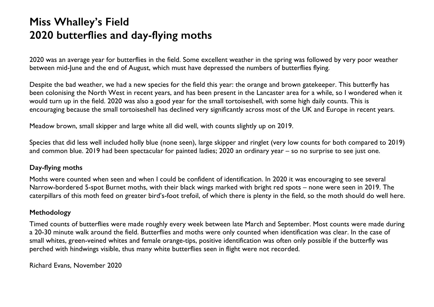## **Miss Whalley's Field 2020 butterflies and day-flying moths**

2020 was an average year for butterflies in the field. Some excellent weather in the spring was followed by very poor weather between mid-June and the end of August, which must have depressed the numbers of butterflies flying.

Despite the bad weather, we had a new species for the field this year: the orange and brown gatekeeper. This butterfly has been colonising the North West in recent years, and has been present in the Lancaster area for a while, so I wondered when it would turn up in the field. 2020 was also a good year for the small tortoiseshell, with some high daily counts. This is encouraging because the small tortoiseshell has declined very significantly across most of the UK and Europe in recent years.

Meadow brown, small skipper and large white all did well, with counts slightly up on 2019.

Species that did less well included holly blue (none seen), large skipper and ringlet (very low counts for both compared to 2019) and common blue. 2019 had been spectacular for painted ladies; 2020 an ordinary year – so no surprise to see just one.

## **Day-flying moths**

Moths were counted when seen and when I could be confident of identification. In 2020 it was encouraging to see several Narrow-bordered 5-spot Burnet moths, with their black wings marked with bright red spots – none were seen in 2019. The caterpillars of this moth feed on greater bird's-foot trefoil, of which there is plenty in the field, so the moth should do well here.

## **Methodology**

Timed counts of butterflies were made roughly every week between late March and September. Most counts were made during a 20-30 minute walk around the field. Butterflies and moths were only counted when identification was clear. In the case of small whites, green-veined whites and female orange-tips, positive identification was often only possible if the butterfly was perched with hindwings visible, thus many white butterflies seen in flight were not recorded.

Richard Evans, November 2020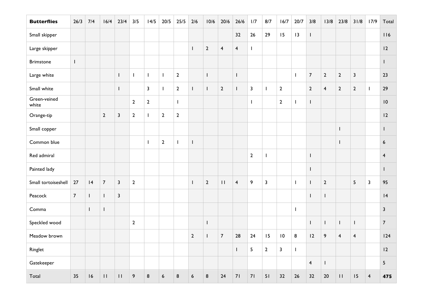| <b>Butterflies</b>    | 26/3           | 7/4          | 16/4           | 23/4                    | 3/5              | 14/5                    | $20/5$                   | $25/5$                   | $2/6$                                 | 10/6           | 20/6                    | 26/6                    | 1/7                     | 8/7                     | 16/7           | 20/7         | 3/8                     | 13/8                    | 23/8                    | 31/8                    | 17/9                    | Total           |
|-----------------------|----------------|--------------|----------------|-------------------------|------------------|-------------------------|--------------------------|--------------------------|---------------------------------------|----------------|-------------------------|-------------------------|-------------------------|-------------------------|----------------|--------------|-------------------------|-------------------------|-------------------------|-------------------------|-------------------------|-----------------|
| Small skipper         |                |              |                |                         |                  |                         |                          |                          |                                       |                |                         | 32                      | 26                      | 29                      | 15             | 3            | $\mathbf{I}$            |                         |                         |                         |                         | 116             |
| Large skipper         |                |              |                |                         |                  |                         |                          |                          | $\mathbf{I}$                          | $\overline{2}$ | $\overline{\mathbf{4}}$ | $\overline{\mathbf{4}}$ | $\mathbf{I}$            |                         |                |              |                         |                         |                         |                         |                         | 12              |
| <b>Brimstone</b>      | $\mathsf{I}$   |              |                |                         |                  |                         |                          |                          |                                       |                |                         |                         |                         |                         |                |              |                         |                         |                         |                         |                         | $\mathbf{I}$    |
| Large white           |                |              |                | $\mathbf{I}$            | $\mathbf I$      | $\mathbf{I}$            | $\mathbf{I}$             | $\overline{2}$           |                                       | $\mathbf{I}$   |                         | $\mathbf{I}$            |                         |                         |                | $\mathbf{I}$ | $\overline{7}$          | $\mathbf{2}$            | $\mathbf 2$             | $\mathbf{3}$            |                         | 23              |
| Small white           |                |              |                | $\mathbf{I}$            |                  | $\overline{\mathbf{3}}$ | $\overline{\phantom{a}}$ | $\overline{2}$           | $\begin{array}{c} \hline \end{array}$ | $\mathbf{I}$   | $\overline{2}$          | $\mathbf{I}$            | $\overline{\mathbf{3}}$ | $\mathbf{I}$            | $\overline{2}$ |              | $\overline{2}$          | $\overline{\mathbf{4}}$ | $\overline{2}$          | $\overline{2}$          | $\mathbf{I}$            | 29              |
| Green-veined<br>white |                |              |                |                         | $\overline{2}$   | $\overline{2}$          |                          | $\overline{\phantom{a}}$ |                                       |                |                         |                         | I                       |                         | $\overline{2}$ | $\mathbf{I}$ | $\mathbf{I}$            |                         |                         |                         |                         | 10              |
| Orange-tip            |                |              | $\mathbf{2}$   | $\mathbf{3}$            | $\overline{2}$   | $\mathbf{I}$            | $\mathbf{2}$             | $\overline{2}$           |                                       |                |                         |                         |                         |                         |                |              |                         |                         |                         |                         |                         | 12              |
| Small copper          |                |              |                |                         |                  |                         |                          |                          |                                       |                |                         |                         |                         |                         |                |              |                         |                         | $\mathsf{I}$            |                         |                         | L               |
| Common blue           |                |              |                |                         |                  | $\mathbf{I}$            | $\mathbf 2$              | $\mathbf{I}$             | $\mathsf I$                           |                |                         |                         |                         |                         |                |              |                         |                         | $\mathbf{I}$            |                         |                         | $6\phantom{a}$  |
| Red admiral           |                |              |                |                         |                  |                         |                          |                          |                                       |                |                         |                         | $\mathbf 2$             | $\mathbf{I}$            |                |              | $\mathbf{I}$            |                         |                         |                         |                         | $\overline{4}$  |
| Painted lady          |                |              |                |                         |                  |                         |                          |                          |                                       |                |                         |                         |                         |                         |                |              | $\mathbf{I}$            |                         |                         |                         |                         | L               |
| Small tortoiseshell   | 27             | 4            | $\overline{7}$ | $\overline{\mathbf{3}}$ | $\overline{2}$   |                         |                          |                          | $\mathbf{I}$                          | $\overline{2}$ | $\mathbf{H}$            | $\overline{4}$          | 9                       | $\overline{\mathbf{3}}$ |                | $\mathbf{I}$ | $\mathbf{I}$            | $\overline{2}$          |                         | 5                       | $\overline{\mathbf{3}}$ | 95              |
| Peacock               | $\overline{7}$ | $\mathbf{L}$ | $\mathbf{L}$   | $\mathbf{3}$            |                  |                         |                          |                          |                                       |                |                         |                         |                         |                         |                |              | $\mathbf{I}$            | $\mathbf{I}$            |                         |                         |                         | 4               |
| Comma                 |                | $\mathbf{L}$ | L              |                         |                  |                         |                          |                          |                                       |                |                         |                         |                         |                         |                | $\mathbf{I}$ |                         |                         |                         |                         |                         | $\mathbf{3}$    |
| Speckled wood         |                |              |                |                         | $\mathbf{2}$     |                         |                          |                          |                                       | $\mathbf{I}$   |                         |                         |                         |                         |                |              | $\mathbf{I}$            | $\mathbf{I}$            | $\mathbf{I}$            | $\mathbf{I}$            |                         | $\overline{7}$  |
| Meadow brown          |                |              |                |                         |                  |                         |                          |                          | $\overline{2}$                        | $\mathbf{I}$   | $\overline{7}$          | 28                      | 24                      | 15                      | 10             | 8            | 12                      | $\boldsymbol{9}$        | $\overline{\mathbf{4}}$ | $\overline{\mathbf{4}}$ |                         | 124             |
| Ringlet               |                |              |                |                         |                  |                         |                          |                          |                                       |                |                         | $\mathsf I$             | $\overline{5}$          | $\mathbf 2$             | $\overline{3}$ | $\mathsf I$  |                         |                         |                         |                         |                         | 2               |
| Gatekeeper            |                |              |                |                         |                  |                         |                          |                          |                                       |                |                         |                         |                         |                         |                |              | $\overline{\mathbf{4}}$ | $\mathbf{I}$            |                         |                         |                         | $5\phantom{.0}$ |
| Total                 | 35             | 16           | $\mathbf{H}$   | $\mathbf{H}$            | $\boldsymbol{9}$ | $\bf 8$                 | $\boldsymbol{6}$         | $\bf 8$                  | $\boldsymbol{6}$                      | $\bf 8$        | 24                      | 71                      | 71                      | 51                      | 32             | 26           | 32                      | 20                      | $\mathbf{H}$            | 15                      | $\overline{\mathbf{4}}$ | 475             |